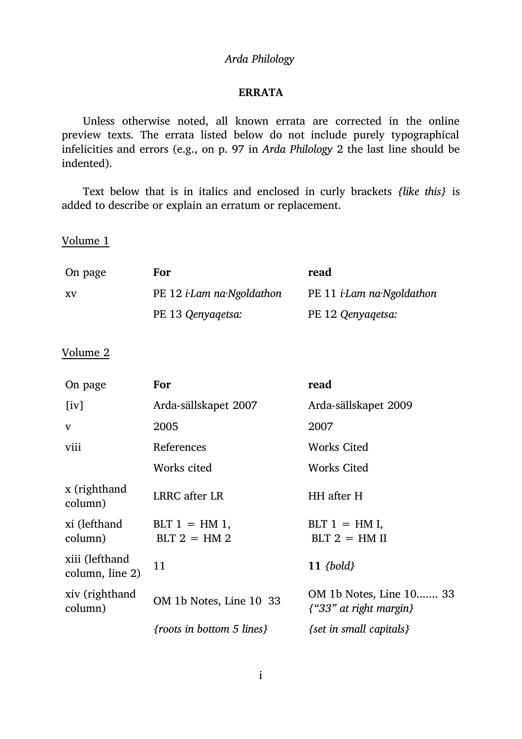## *Arda Philology*

## **ERRATA**

Unless otherwise noted, all known errata are corrected in the online preview texts. The errata listed below do not include purely typographical infelicities and errors (e.g., on p. 97 in *Arda Philology* 2 the last line should be indented).

Text below that is in italics and enclosed in curly brackets *{like this}* is added to describe or explain an erratum or replacement.

Volume 1

| On page   | For                               | read                              |
|-----------|-----------------------------------|-----------------------------------|
| <b>XV</b> | PE 12 <i>i</i> -Lam na Ngoldathon | PE 11 <i>i</i> -Lam na-Ngoldathon |
|           | PE 13 Qenyagetsa:                 | PE 12 Qenyagetsa:                 |

Volume 2

| On page                           | For                                | read                                                      |
|-----------------------------------|------------------------------------|-----------------------------------------------------------|
| $\lceil iv \rceil$                | Arda-sällskapet 2007               | Arda-sällskapet 2009                                      |
| V                                 | 2005                               | 2007                                                      |
| viii                              | References                         | Works Cited                                               |
|                                   | Works cited                        | Works Cited                                               |
| x (righthand<br>column)           | LRRC after LR                      | HH after H                                                |
| xi (lefthand<br>column)           | $BLT 1 = HM 1$ ,<br>$BLT 2 = HM 2$ | $BLT 1 = HM I$ ,<br>$BLT 2 = HM II$                       |
| xiii (lefthand<br>column, line 2) | 11                                 | $11 \; \{bold}$                                           |
| xiv (righthand<br>column)         | OM 1b Notes, Line 10 33            | OM 1b Notes, Line 10 33<br>$\{$ "33" at right margin $\}$ |
|                                   | {roots in bottom 5 lines}          | {set in small capitals}                                   |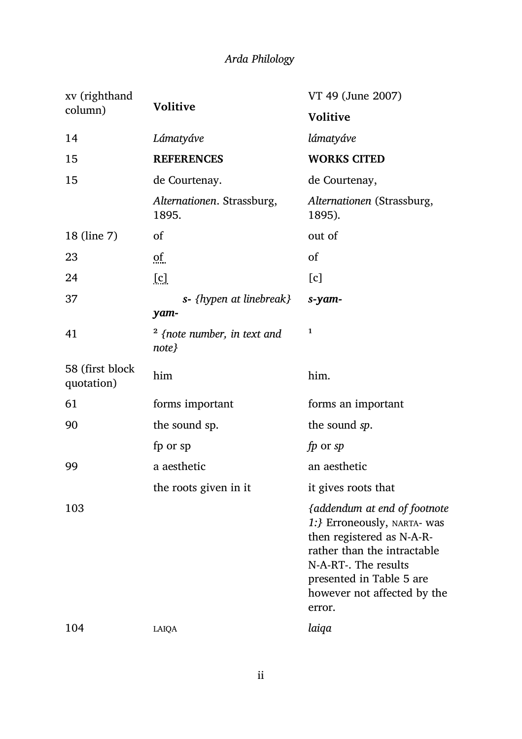| xv (righthand<br>column)      | <b>Volitive</b>                        | VT 49 (June 2007)                                                                                                                                                                                                    |
|-------------------------------|----------------------------------------|----------------------------------------------------------------------------------------------------------------------------------------------------------------------------------------------------------------------|
|                               |                                        | <b>Volitive</b>                                                                                                                                                                                                      |
| 14                            | Lámatyáve                              | lámatyáve                                                                                                                                                                                                            |
| 15                            | <b>REFERENCES</b>                      | <b>WORKS CITED</b>                                                                                                                                                                                                   |
| 15                            | de Courtenay.                          | de Courtenay,                                                                                                                                                                                                        |
|                               | Alternationen. Strassburg,<br>1895.    | Alternationen (Strassburg,<br>1895).                                                                                                                                                                                 |
| 18 (line 7)                   | of                                     | out of                                                                                                                                                                                                               |
| 23                            | Qf                                     | of                                                                                                                                                                                                                   |
| 24                            | [c]                                    | [c]                                                                                                                                                                                                                  |
| 37                            | s- {hypen at linebreak}<br>yam-        | s-yam-                                                                                                                                                                                                               |
| 41                            | $2$ {note number, in text and<br>note} | 1                                                                                                                                                                                                                    |
| 58 (first block<br>quotation) | him                                    | him.                                                                                                                                                                                                                 |
| 61                            | forms important                        | forms an important                                                                                                                                                                                                   |
| 90                            | the sound sp.                          | the sound sp.                                                                                                                                                                                                        |
|                               | fp or sp                               | fp or sp                                                                                                                                                                                                             |
| 99                            | a aesthetic                            | an aesthetic                                                                                                                                                                                                         |
|                               | the roots given in it                  | it gives roots that                                                                                                                                                                                                  |
| 103                           |                                        | {addendum at end of footnote<br>1:} Erroneously, NARTA- was<br>then registered as N-A-R-<br>rather than the intractable<br>N-A-RT-. The results<br>presented in Table 5 are<br>however not affected by the<br>error. |
| 104                           | LAIQA                                  | laiqa                                                                                                                                                                                                                |